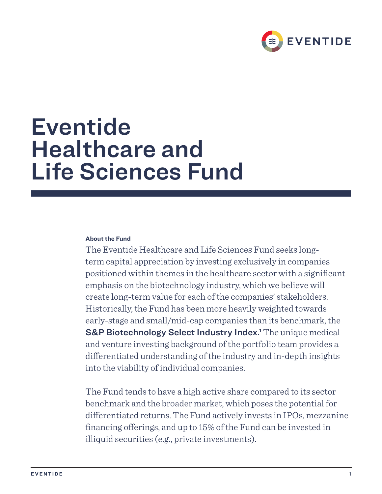

# Eventide Healthcare and Life Sciences Fund

# **About the Fund**

The Eventide Healthcare and Life Sciences Fund seeks longterm capital appreciation by investing exclusively in companies positioned within themes in the healthcare sector with a significant emphasis on the biotechnology industry, which we believe will create long-term value for each of the companies' stakeholders. Historically, the Fund has been more heavily weighted towards early-stage and small/mid-cap companies than its benchmark, the S&P Biotechnology Select Industry Index.<sup>1</sup> The unique medical and venture investing background of the portfolio team provides a differentiated understanding of the industry and in-depth insights into the viability of individual companies.

The Fund tends to have a high active share compared to its sector benchmark and the broader market, which poses the potential for differentiated returns. The Fund actively invests in IPOs, mezzanine financing offerings, and up to 15% of the Fund can be invested in illiquid securities (e.g., private investments).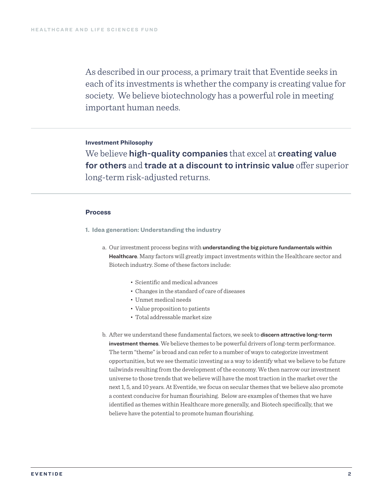As described in our process, a primary trait that Eventide seeks in each of its investments is whether the company is creating value for society. We believe biotechnology has a powerful role in meeting important human needs.

# **Investment Philosophy**

We believe high-quality companies that excel at creating value for others and trade at a discount to intrinsic value offer superior long-term risk-adjusted returns.

## **Process**

- **1. Idea generation: Understanding the industry**
	- a. Our investment process begins with understanding the big picture fundamentals within Healthcare. Many factors will greatly impact investments within the Healthcare sector and Biotech industry. Some of these factors include:
		- Scientific and medical advances
		- Changes in the standard of care of diseases
		- Unmet medical needs
		- Value proposition to patients
		- Total addressable market size
	- b. After we understand these fundamental factors, we seek to discern attractive long-term investment themes. We believe themes to be powerful drivers of long-term performance. The term "theme" is broad and can refer to a number of ways to categorize investment opportunities, but we see thematic investing as a way to identify what we believe to be future tailwinds resulting from the development of the economy. We then narrow our investment universe to those trends that we believe will have the most traction in the market over the next 1, 5, and 10 years. At Eventide, we focus on secular themes that we believe also promote a context conducive for human flourishing. Below are examples of themes that we have identified as themes within Healthcare more generally, and Biotech specifically, that we believe have the potential to promote human flourishing.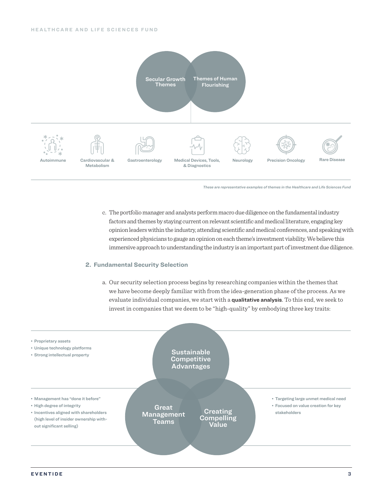

*These are representative examples of themes in the Healthcare and Life Sciences Fund*

c. The portfolio manager and analysts perform macro due diligence on the fundamental industry factors and themes by staying current on relevant scientific and medical literature, engaging key opinion leaders within the industry, attending scientific and medical conferences, and speaking with experienced physicians to gauge an opinion on each theme's investment viability. We believe this immersive approach to understanding the industry is an important part of investment due diligence.

#### **2. Fundamental Security Selection**

a. Our security selection process begins by researching companies within the themes that we have become deeply familiar with from the idea-generation phase of the process. As we evaluate individual companies, we start with a qualitative analysis. To this end, we seek to invest in companies that we deem to be "high-quality" by embodying three key traits:

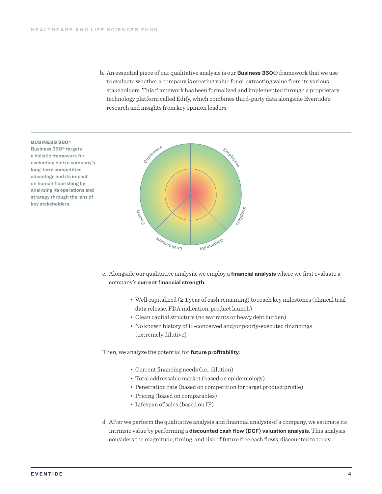b. An essential piece of our qualitative analysis is our Business 360® framework that we use to evaluate whether a company is creating value for or extracting value from its various stakeholders. This framework has been formalized and implemented through a proprietary technology platform called Edify, which combines third-party data alongside Eventide's research and insights from key opinion leaders.



Business 360® targets a holistic framework for evaluating both a company's long-term competitive advantage and its impact on human flourishing by analyzing its operations and strategy through the lens of key stakeholders.



- c. Alongside our qualitative analysis, we employ a financial analysis where we first evaluate a company's current financial strength:
	- Well capitalized (≥ 1 year of cash remaining) to reach key milestones (clinical trial data release, FDA indication, product launch)
	- Clean capital structure (no warrants or heavy debt burden)
	- No known history of ill-conceived and/or poorly-executed financings (extremely dilutive)

Then, we analyze the potential for future profitability:

- Current financing needs (i.e., dilution)
- Total addressable market (based on epidemiology)
- Penetration rate (based on competition for target product profile)
- Pricing (based on comparables)
- Lifespan of sales (based on IP)
- d. After we perform the qualitative analysis and financial analysis of a company, we estimate its intrinsic value by performing a discounted cash flow (DCF) valuation analysis. This analysis considers the magnitude, timing, and risk of future free cash flows, discounted to today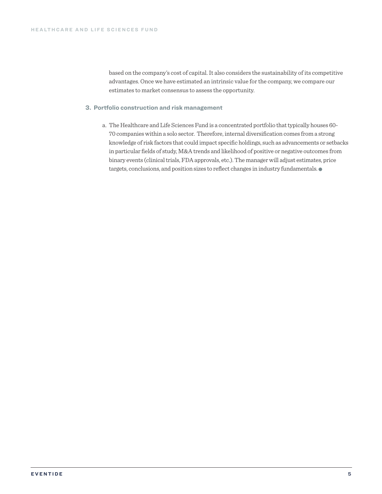based on the company's cost of capital. It also considers the sustainability of its competitive advantages. Once we have estimated an intrinsic value for the company, we compare our estimates to market consensus to assess the opportunity.

## **3. Portfolio construction and risk management**

a. The Healthcare and Life Sciences Fund is a concentrated portfolio that typically houses 60- 70 companies within a solo sector. Therefore, internal diversification comes from a strong knowledge of risk factors that could impact specific holdings, such as advancements or setbacks in particular fields of study, M&A trends and likelihood of positive or negative outcomes from binary events (clinical trials, FDA approvals, etc.). The manager will adjust estimates, price targets, conclusions, and position sizes to reflect changes in industry fundamentals.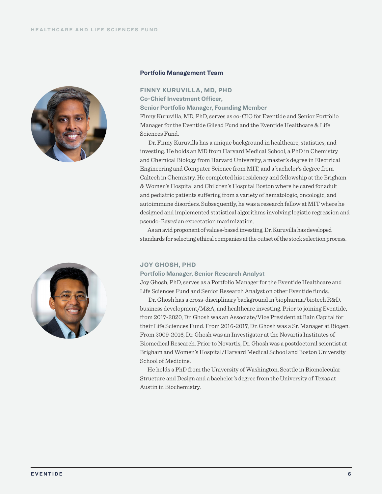



#### **Portfolio Management Team**

**FINNY KURUVILLA, MD, PHD Co-Chief Investment Officer, Senior Portfolio Manager, Founding Member**

Finny Kuruvilla, MD, PhD, serves as co-CIO for Eventide and Senior Portfolio Manager for the Eventide Gilead Fund and the Eventide Healthcare & Life Sciences Fund.

Dr. Finny Kuruvilla has a unique background in healthcare, statistics, and investing. He holds an MD from Harvard Medical School, a PhD in Chemistry and Chemical Biology from Harvard University, a master's degree in Electrical Engineering and Computer Science from MIT, and a bachelor's degree from Caltech in Chemistry. He completed his residency and fellowship at the Brigham & Women's Hospital and Children's Hospital Boston where he cared for adult and pediatric patients suffering from a variety of hematologic, oncologic, and autoimmune disorders. Subsequently, he was a research fellow at MIT where he designed and implemented statistical algorithms involving logistic regression and pseudo-Bayesian expectation maximization.

As an avid proponent of values-based investing, Dr. Kuruvilla has developed standards for selecting ethical companies at the outset of the stock selection process.

#### **JOY GHOSH, PHD**

#### **Portfolio Manager, Senior Research Analyst**

Joy Ghosh, PhD, serves as a Portfolio Manager for the Eventide Healthcare and Life Sciences Fund and Senior Research Analyst on other Eventide funds.

Dr. Ghosh has a cross-disciplinary background in biopharma/biotech R&D, business development/M&A, and healthcare investing. Prior to joining Eventide, from 2017-2020, Dr. Ghosh was an Associate/Vice President at Bain Capital for their Life Sciences Fund. From 2016-2017, Dr. Ghosh was a Sr. Manager at Biogen. From 2009-2016, Dr. Ghosh was an Investigator at the Novartis Institutes of Biomedical Research. Prior to Novartis, Dr. Ghosh was a postdoctoral scientist at Brigham and Women's Hospital/Harvard Medical School and Boston University School of Medicine.

He holds a PhD from the University of Washington, Seattle in Biomolecular Structure and Design and a bachelor's degree from the University of Texas at Austin in Biochemistry.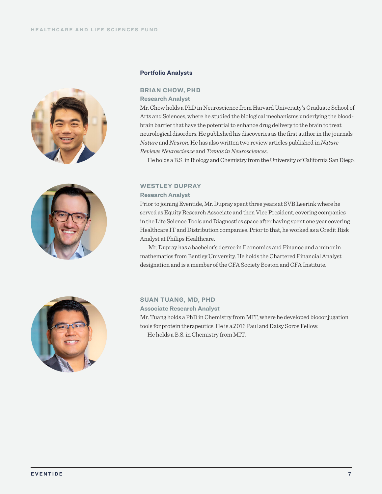



## **Portfolio Analysts**

**BRIAN CHOW, PHD**

**Research Analyst**

Mr. Chow holds a PhD in Neuroscience from Harvard University's Graduate School of Arts and Sciences, where he studied the biological mechanisms underlying the bloodbrain barrier that have the potential to enhance drug delivery to the brain to treat neurological disorders. He published his discoveries as the first author in the journals *Nature* and *Neuron*. He has also written two review articles published in *Nature Reviews Neuroscience* and *Trends in Neurosciences*.

He holds a B.S. in Biology and Chemistry from the University of California San Diego.

# **WESTLEY DUPRAY**

# **Research Analyst**

Prior to joining Eventide, Mr. Dupray spent three years at SVB Leerink where he served as Equity Research Associate and then Vice President, covering companies in the Life Science Tools and Diagnostics space after having spent one year covering Healthcare IT and Distribution companies. Prior to that, he worked as a Credit Risk Analyst at Philips Healthcare.

Mr. Dupray has a bachelor's degree in Economics and Finance and a minor in mathematics from Bentley University. He holds the Chartered Financial Analyst designation and is a member of the CFA Society Boston and CFA Institute.



**SUAN TUANG, MD, PHD**

**Associate Research Analyst**

Mr. Tuang holds a PhD in Chemistry from MIT, where he developed bioconjugation tools for protein therapeutics. He is a 2016 Paul and Daisy Soros Fellow. He holds a B.S. in Chemistry from MIT.